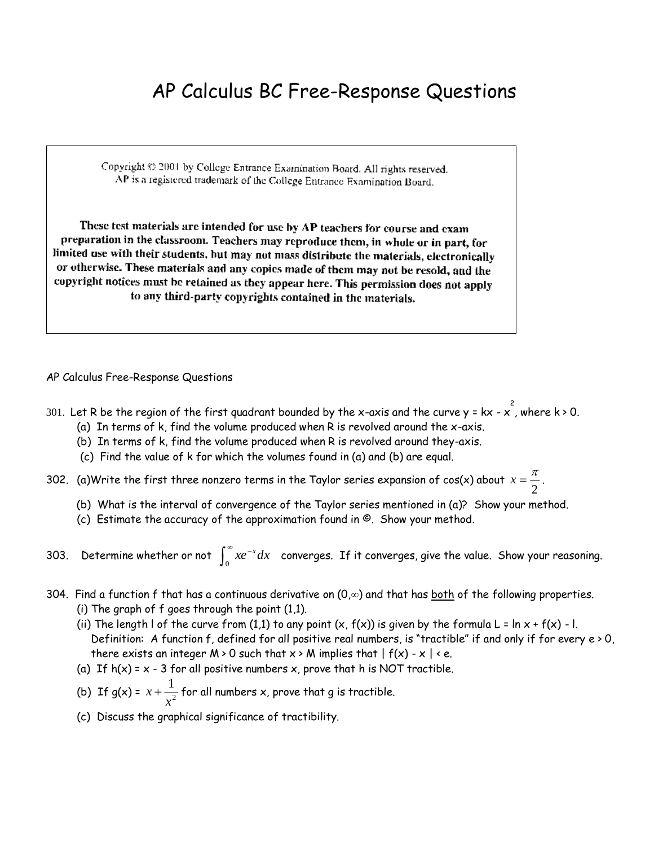## AP Calculus BC Free-Response Questions

Copyright © 2001 by College Entrance Examination Board. All rights reserved. AP is a registered trademark of the College Entrance Examination Board.

These test materials are intended for use by AP teachers for course and exam preparation in the classroom. Teachers may reproduce them, in whole or in part, for limited use with their students, but may not mass distribute the materials, electronically or otherwise. These materials and any copies made of them may not be resold, and the copyright notices must be retained as they appear here. This permission does not apply to any third-party copyrights contained in the materials.

## AP Calculus Free-Response Questions

- 301. Let R be the region of the first quadrant bounded by the x-axis and the curve y = kx x , where k > 0.
	- (a) In terms of k, find the volume produced when R is revolved around the x-axis.
	- (b) In terms of k, find the volume produced when R is revolved around they-axis.
	- (c) Find the value of k for which the volumes found in (a) and (b) are equal.
- 302. (a)Write the first three nonzero terms in the Taylor series expansion of cos(x) about  $x=\frac{\pi}{2}$  $\frac{1}{2}$  .
	- (b) What is the interval of convergence of the Taylor series mentioned in (a)? Show your method.
	- (c) Estimate the accuracy of the approximation found in ©. Show your method.
- 303. Determine whether or not  $\,\int_0^\infty xe^{-x}dx\,$  converges. If it converges, give the value. Show your reasoning.
- 304. Find a function f that has a continuous derivative on  $(0, \infty)$  and that has both of the following properties.
	- (i) The graph of f goes through the point (1,1).
	- (ii) The length I of the curve from (1,1) to any point  $(x, f(x))$  is given by the formula L =  $\ln x + f(x) I$ . Definition: A function f, defined for all positive real numbers, is "tractible" if and only if for every e > 0, there exists an integer  $M \geq 0$  such that  $x \geq M$  implies that  $|f(x) - x| \leq e$ .
	- (a) If  $h(x) = x 3$  for all positive numbers x, prove that h is NOT tractible.
	- (b) If g(x) = *x x*  $+\frac{1}{2}$  $\frac{1}{2}$  for all numbers x, prove that g is tractible.
	- (c) Discuss the graphical significance of tractibility.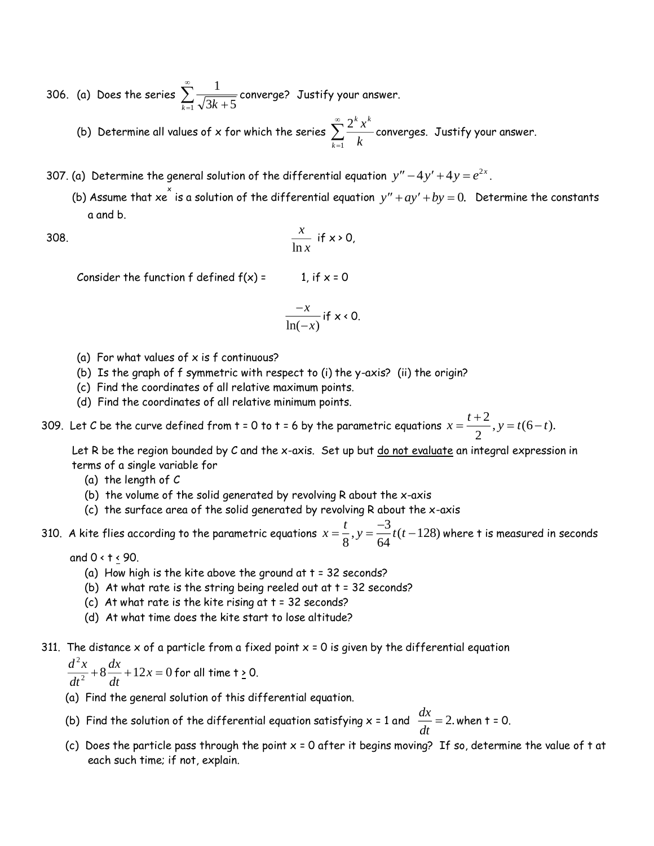306. (a) Does the series  $\sum\limits_{}^{\infty}\frac{1}{\sqrt{1-\frac{1}{\sqrt{1-\frac{1}{\sqrt{1-\frac{1}{\sqrt{1-\frac{1}{\sqrt{1-\frac{1}{\sqrt{1-\frac{1}{\sqrt{1-\frac{1}{\sqrt{1-\frac{1}{\sqrt{1-\frac{1}{\sqrt{1+\frac{1}{\sqrt{1+\frac{1}{\sqrt{1+\frac{1}{\sqrt{1+\frac{1}{\sqrt{1+\frac{1}{\sqrt{1+\frac{1}{\sqrt{1+\frac{1}{\sqrt{1+\frac{1}{\sqrt{1+\frac{1}{\sqrt{1+\frac{1}{\sqrt{1+\frac{1}{$  $\sum_{k=1}$   $\sqrt{3k+5}$  $\sum_{i=1}^{\infty} \frac{1}{\sqrt{2i-1}}$ converge? Justify your answer.

(b) Determine all values of x for which the series  $\sum\limits^{\infty}_{ } \frac{2}{\pi}$ 1 *k k k x*  $\frac{1}{1}$   $k$  $\sum_{n=1}^{\infty} \frac{2^k x^k}{n}$ converges. Justify your answer.

- 307. (a) Determine the general solution of the differential equation  $y'' 4y' + 4y = e^{2x}$ .
	- (b) Assume that xe  $\checkmark$  is a solution of the differential equation  $y'' + ay' + by = 0$ . Determine the constants a and b.

308.

$$
\frac{x}{\ln x} \text{ if } x \ge 0,
$$

Consider the function f defined  $f(x) =$  1, if  $x = 0$ 

$$
\frac{-x}{\ln(-x)}
$$
 if x < 0.

- (a) For what values of  $x$  is  $f$  continuous?
- (b) Is the graph of f symmetric with respect to (i) the y-axis? (ii) the origin?
- (c) Find the coordinates of all relative maximum points.
- (d) Find the coordinates of all relative minimum points.

309. Let C be the curve defined from t = 0 to t = 6 by the parametric equations  $x = \frac{t+2}{2}$ ,  $y = t(6-t)$  $\frac{1}{2}$ , y = t(6 – t).

Let R be the region bounded by C and the x-axis. Set up but do not evaluate an integral expression in terms of a single variable for

- (a) the length of C
- (b) the volume of the solid generated by revolving R about the x-axis
- (c) the surface area of the solid generated by revolving R about the x-axis
- 310. A kite flies according to the parametric equations  $x = \frac{t}{8}$ ,  $y = \frac{-3}{64}t(t t)$ 3 ,  $y = \frac{1}{64}t(t-128)$  where t is measured in seconds

and  $0 < t \leq 90$ .

- (a) How high is the kite above the ground at  $t = 32$  seconds?
- (b) At what rate is the string being reeled out at  $t = 32$  seconds?
- (c) At what rate is the kite rising at  $t = 32$  seconds?
- (d) At what time does the kite start to lose altitude?
- 311. The distance  $x$  of a particle from a fixed point  $x = 0$  is given by the differential equation

 $d^2x$ *dt dx*  $\frac{d}{dt}$  + 12*x* 2  $\frac{12}{2} + 8 \frac{12}{4} + 12x = 0$  for all time t  $\geq$  0.

- (a) Find the general solution of this differential equation.
- (b) Find the solution of the differential equation satisfying x = 1 and *dx*  $\frac{du}{dt}$  = 2. when t = 0.
- (c) Does the particle pass through the point  $x = 0$  after it begins moving? If so, determine the value of t at each such time; if not, explain.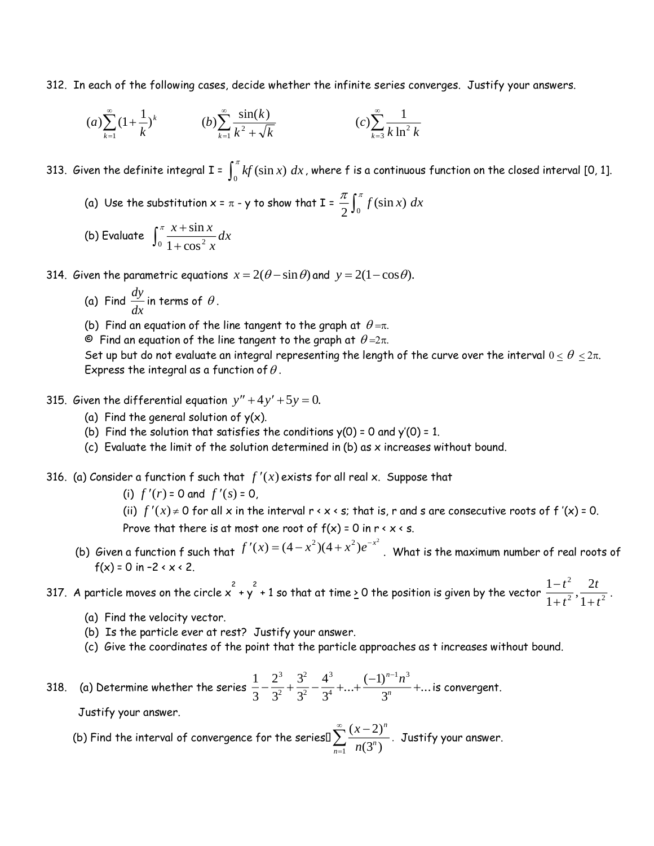312. In each of the following cases, decide whether the infinite series converges. Justify your answers.

$$
(a) \sum_{k=1}^{\infty} (1 + \frac{1}{k})^{k} \qquad \qquad (b) \sum_{k=1}^{\infty} \frac{\sin(k)}{k^{2} + \sqrt{k}} \qquad \qquad (c) \sum_{k=3}^{\infty} \frac{1}{k \ln^{2} k}
$$

313. Given the definite integral I =  $\int_0^{\pi}$  $\int\limits_0^{\pi} kf(\sin x) \; dx$  , where  $\sf f$  is a continuous function on the closed interval [0, 1].

- (a) Use the substitution x =  $\pi$  y to show that I =  $\frac{\pi}{2} \int_{0}^{\pi}$  $\int_{2}^{\infty}$ **f** (sin x) dx
- (b) Evaluate  $\int_0^{\pi} \frac{x}{1+x}$  $\pi x +$  $^{0}$  1 +  $\cos^{2}$  $\frac{\sin x}{x}$ dx *x x x*

314. Given the parametric equations  $x = 2(\theta - \sin \theta)$  and  $y = 2(1 - \cos \theta)$ .

- (a) Find *dy*  $\frac{dy}{dx}$  in terms of  $\theta$ .
- (b) Find an equation of the line tangent to the graph at  $\,\theta$  = $\pi$ .

 $\mathsf{\Theta}~$  Find an equation of the line tangent to the graph at  $\theta$  =2 $\pi$ .

Set up but do not evaluate an integral representing the length of the curve over the interval  $0 \leq \theta \leq 2\pi$ . Express the integral as a function of  $\theta$  .

- 315. Given the differential equation  $y'' + 4y' + 5y = 0$ .
	- (a) Find the general solution of  $y(x)$ .
	- (b) Find the solution that satisfies the conditions  $y(0) = 0$  and  $y'(0) = 1$ .
	- (c) Evaluate the limit of the solution determined in  $(b)$  as x increases without bound.

## 316. (a) Consider a function f such that  $f'(x)$  exists for all real x. Suppose that

(i)  $f'(r) = 0$  and  $f'(s) = 0$ ,

(ii)  $f'(x) \neq 0$  for all x in the interval r < x < s; that is, r and s are consecutive roots of f '(x) = 0.

Prove that there is at most one root of  $f(x) = 0$  in  $r \le x \le s$ .

(b) Given a function f such that  $f'(x) = (4 - x^2)(4 + x^2)e^{-x^2}$ . What is the maximum number of real roots of f(x) = 0 in  $-2 < x < 2$ .

317. A particle moves on the circle  $\mathsf{x}^2+\mathsf{y}^2+1$  so that at time  $\mathsf{\underline{\mathsf{}}}\,$  0 the position is given by the vector  $\frac{1}{\mathsf{\mathsf{}}}\,$ 1 2 1 2  $2$   $\cdot$   $1$   $\cdot$   $\cdot$   $2$ Ξ  $+t$  1+ *t t t*  $\frac{1}{1+t^2}$ .

- (a) Find the velocity vector.
- (b) Is the particle ever at rest? Justify your answer.
- (c) Give the coordinates of the point that the particle approaches as t increases without bound.

318. (a) Determine whether the series  $\frac{1}{2}$ 3 2 3 3 3 4 3 1 3 3 2 2 2 3 4 1 3  $-\frac{2}{2}+\frac{3}{2}-\frac{4}{2}+\ldots+\frac{(-1)^{n}}{n}+$ т,  $...+\frac{(-1)^{n-1}n^3}{n}+...$ *n n*  $\frac{n}{}$  +... is convergent.

Justify your answer.

(b) Find the interval of convergence for the seriesl  $\sum_{n=0}^{\infty} \frac{(x-2)^n}{(x-2)^n}$  $(3^n)$ *x n*  $\sum_{n=1}$   $n(3^n)$ Ξ  $\sum_{n=0}^{\infty} \frac{(x-2)}{2^n}$  $\frac{1}{1}$  n(3) Justify your answer.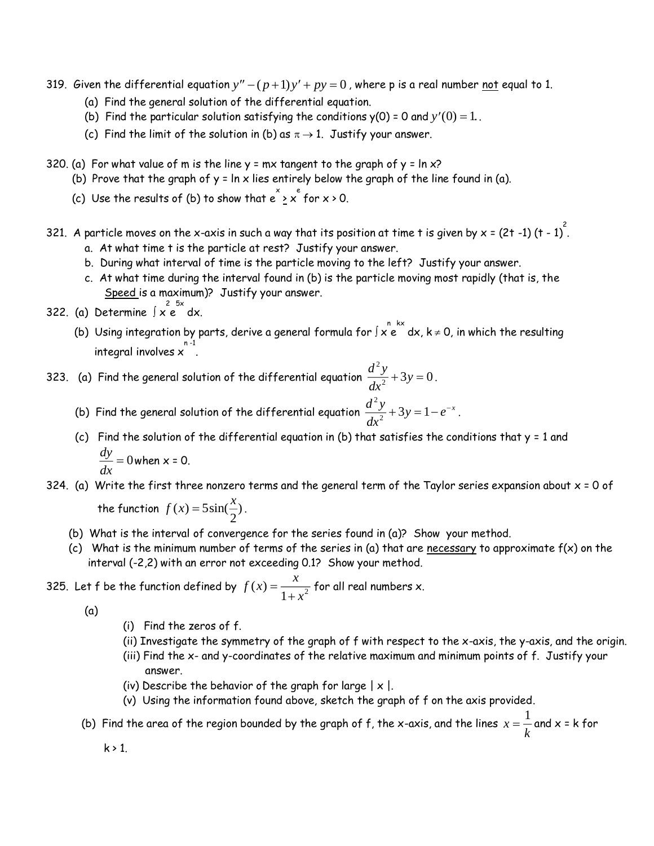- 319. *G*iven the differential equation  $y''-(p+1)y'+py=0$  , where p is a real number <u>not</u> equal to 1.
	- (a) Find the general solution of the differential equation.
	- (b) Find the particular solution satisfying the conditions  $y(0) = 0$  and  $y'(0) = 1$ .
	- (c) Find the limit of the solution in (b) as  $\pi \rightarrow 1$ . Justify your answer.
- 320. (a) For what value of m is the line  $y = mx$  tangent to the graph of  $y = \ln x$ ?
	- (b) Prove that the graph of  $y = \ln x$  lies entirely below the graph of the line found in (a).
- (c) Use the results of (b) to show that  $e\check{\ }$   $\geq$  x  $\check{\ }$  for x > 0.
- 321. A particle moves on the x-axis in such a way that its position at time t is given by x = (2t -1) (t 1)  $\hat{.}$ 
	- a. At what time t is the particle at rest? Justify your answer.
	- b. During what interval of time is the particle moving to the left? Justify your answer.
	- c. At what time during the interval found in (b) is the particle moving most rapidly (that is, the Speed is a maximum)? Justify your answer.
- 322. (a) Determine  $\int x \, \epsilon^{2} dx$ .
- (b) Using integration by parts, derive a general formula for  $\int x \stackrel{n}{e}^x dx$ , k  $\neq$  0, in which the resulting  $^{\sf n-1}$  integral involves  $\mathsf{x}$
- 323. (a) Find the general solution of the differential equation  $\frac{d^2y}{dx^2}$  $\frac{d^2}{dx^2} + 3y$ 2  $\frac{y}{2} + 3y = 0$ .
- (b) Find the general solution of the differential equation  $\frac{d^2y}{dx^2}$  $\frac{d^2y}{dx^2} + 3y = 1 - e^{-x}$  $\frac{y}{2} + 3y = 1 - e^{-x}$ .
	- (c) Find the solution of the differential equation in (b) that satisfies the conditions that  $y = 1$  and *dy*  $\frac{dy}{dx}$  = 0 when x = 0.
- 324. (a) Write the first three nonzero terms and the general term of the Taylor series expansion about  $x = 0$  of

the function  $f(x) = 5\sin(\frac{x}{2})$ .

- (b) What is the interval of convergence for the series found in (a)? Show your method.
- (c) What is the minimum number of terms of the series in (a) that are necessary to approximate  $f(x)$  on the interval (-2,2) with an error not exceeding 0.1? Show your method.

325. Let f be the function defined by 
$$
f(x) = \frac{x}{1 + x^2}
$$
 for all real numbers x.

(a)

- (i) Find the zeros of f.
- (ii) Investigate the symmetry of the graph of f with respect to the x-axis, the y-axis, and the origin.
- (iii) Find the x- and y-coordinates of the relative maximum and minimum points of f. Justify your answer.
- (iv) Describe the behavior of the graph for large  $|x|$ .
- (v) Using the information found above, sketch the graph of f on the axis provided.
- (b) Find the area of the region bounded by the graph of f, the x-axis, and the lines  $x=\dfrac{1}{k}$  $\frac{1}{2}$  and x = k for

 $k > 1$ .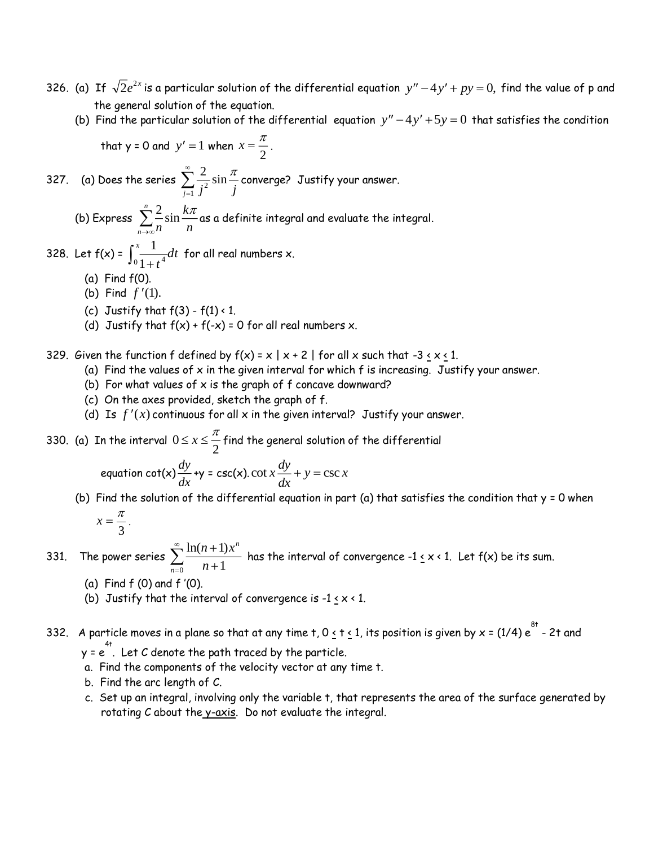- 326. (a) If  $\sqrt{2}e^{2x}$  is a particular solution of the differential equation  $y''-4y'+py=0,$  find the value of p and the general solution of the equation.
- (b) Find the particular solution of the differential equation  $y''-4y'+5y=0$  that satisfies the condition

that 
$$
y = 0
$$
 and  $y' = 1$  when  $x = \frac{\pi}{2}$ .

327. (a) Does the series  $\sum_{n=0}^{\infty} \frac{2}{n^2}$  $\sum_{j=1}^{j} j^2$  *j*  $\sin \frac{\pi}{4}$  $\sum\limits_{i=2}^{\infty}\frac{2}{\sin{\frac{\pi}{i}}}$ converge? Justify your answer.

(b) Express  $\sum_{i=1}^{n} \frac{2}{i}$ *n k*  $\sum_{n\to\infty}$ n *n*  $\sum\limits_{n=1}^{n}\frac{2}{n}\sin\frac{k\pi}{n}$ as a definite integral and evaluate the integral. →∞

328. Let  $f(x) = \int_{0}^{x} \frac{1}{\sqrt{1-x^2}} dt$ *t*  $\int_0^x \frac{1}{1+t^4}$  $\frac{1}{\sqrt{t}}$ dt for all real numbers x.

- (a) Find f(0).
- (b) Find  $f'(1)$ .
- (c) Justify that  $f(3) f(1) < 1$ .
- (d) Justify that  $f(x) + f(-x) = 0$  for all real numbers x.

329. Given the function f defined by  $f(x) = x | x + 2 |$  for all x such that  $-3 \times x \times 1$ .

- (a) Find the values of  $x$  in the given interval for which  $f$  is increasing. Justify your answer.
- (b) For what values of  $x$  is the graph of  $f$  concave downward?
- (c) On the axes provided, sketch the graph of f.
- (d) Is  $f'(x)$  continuous for all  $x$  in the given interval? Justify your answer.

330. (a) In the interval  $0$ 2  $0\leq x\leq\frac{\pi}{2}$  find the general solution of the differential

equation 
$$
\cot(x) \frac{dy}{dx} + y = \csc(x) \cdot \cot x \frac{dy}{dx} + y = \csc x
$$

(b) Find the solution of the differential equation in part (a) that satisfies the condition that  $y = 0$  when

$$
x=\frac{\pi}{3}.
$$

331. The power series  $\sum_{n=1}^{\infty} \frac{\ln(n+1)x}{n}$ *n n*  $^+$  $\overline{=}$   $n +$  $\sum_{n=1}^{\infty} \frac{\ln(n+1)}{n+1}$  $\frac{1}{0}$   $n+1$ has the interval of convergence -1  $\leq$  x < 1. Let f(x) be its sum.

- (a) Find f (0) and f '(0).
- (b) Justify that the interval of convergence is  $-1 \le x < 1$ .
- 332. A particle moves in a plane so that at any time t, 0  $\leq$  t  $\leq$  1, its position is given by x = (1/4)  $e^{8^+}$  2t and  $y = e^{4t}$ . Let C denote the path traced by the particle.
	- a. Find the components of the velocity vector at any time t.
	- b. Find the arc length of C.
	- c. Set up an integral, involving only the variable t, that represents the area of the surface generated by rotating C about the y-axis. Do not evaluate the integral.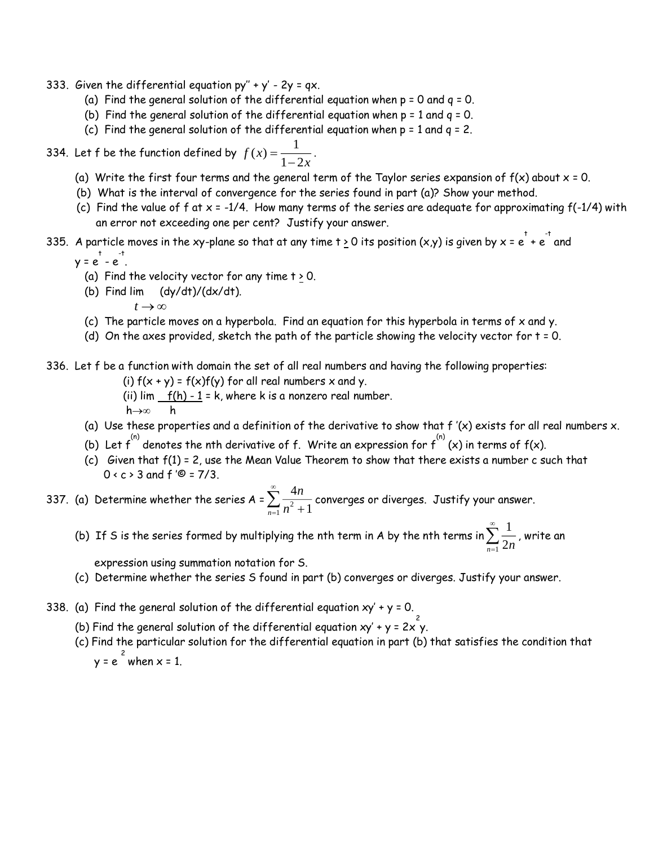- 333. Given the differential equation  $py'' + y' 2y = qx$ .
	- (a) Find the general solution of the differential equation when  $p = 0$  and  $q = 0$ .
	- (b) Find the general solution of the differential equation when  $p = 1$  and  $q = 0$ .
	- (c) Find the general solution of the differential equation when  $p = 1$  and  $q = 2$ .
- 334. Let f be the function defined by  $f(x) = \frac{1}{1-2x}$ 1  $\frac{1}{1-2x}$ .
	- (a) Write the first four terms and the general term of the Taylor series expansion of  $f(x)$  about  $x = 0$ .
	- (b) What is the interval of convergence for the series found in part (a)? Show your method.
	- (c) Find the value of f at  $x = -1/4$ . How many terms of the series are adequate for approximating  $f(-1/4)$  with an error not exceeding one per cent? Justify your answer.
- 335. A particle moves in the xy-plane so that at any time t  $\geq$  0 its position (x,y) is given by x = e  $^+$  e  $^-$  and

$$
y = e^+ - e^+
$$

- (a) Find the velocity vector for any time  $t \ge 0$ .
- (b) Find lim (dy/dt)/(dx/dt).
	- $t \rightarrow \infty$

.

- (c) The particle moves on a hyperbola. Find an equation for this hyperbola in terms of  $x$  and  $y$ .
- (d) On the axes provided, sketch the path of the particle showing the velocity vector for  $t = 0$ .
- 336. Let f be a function with domain the set of all real numbers and having the following properties:
	- (i)  $f(x + y) = f(x)f(y)$  for all real numbers x and y.
	- (ii)  $\lim_{h \to 0} f(h) 1 = k$ , where k is a nonzero real number.

 $h \rightarrow \infty$  h

- (a) Use these properties and a definition of the derivative to show that  $f'(x)$  exists for all real numbers  $x$ .
- (b) Let  $f^{^{(n)}}$  denotes the nth derivative of  $f$ . Write an expression for  $f^{^{(n)}}(x)$  in terms of  $f(x)$ .
- (c) Given that f(1) = 2, use the Mean Value Theorem to show that there exists a number c such that  $0 \times c$  > 3 and  $f'$ © = 7/3.

337. (a) Determine whether the series A =  $\sum_{n=1}^{\infty} \frac{4}{n}$  $\frac{1}{1}n^2+1$ *n*  $\sum_{n=1}^{n} n^{2} +$  $\sum_{n=2}^{\infty} \frac{4n}{n^2}$  converges or diverges. Justify your answer.

(b) If S is the series formed by multiplying the nth term in A by the nth terms in  $\sum_{n=1}^{\infty} \frac{1}{n}$  $\sum_{n=1}$  2*n*  $\sum\limits_{i=1}^{\infty}\frac{1}{2^{n}}$ , write an

expression using summation notation for S.

- (c) Determine whether the series S found in part (b) converges or diverges. Justify your answer.
- 338. (a) Find the general solution of the differential equation  $xy' + y = 0$ .
- (b) Find the general solution of the differential equation xy' + y = 2x  $^2$ y.
	- (c) Find the particular solution for the differential equation in part (b) that satisfies the condition that  $y = e^{\frac{2}{x}}$  when  $x = 1$ .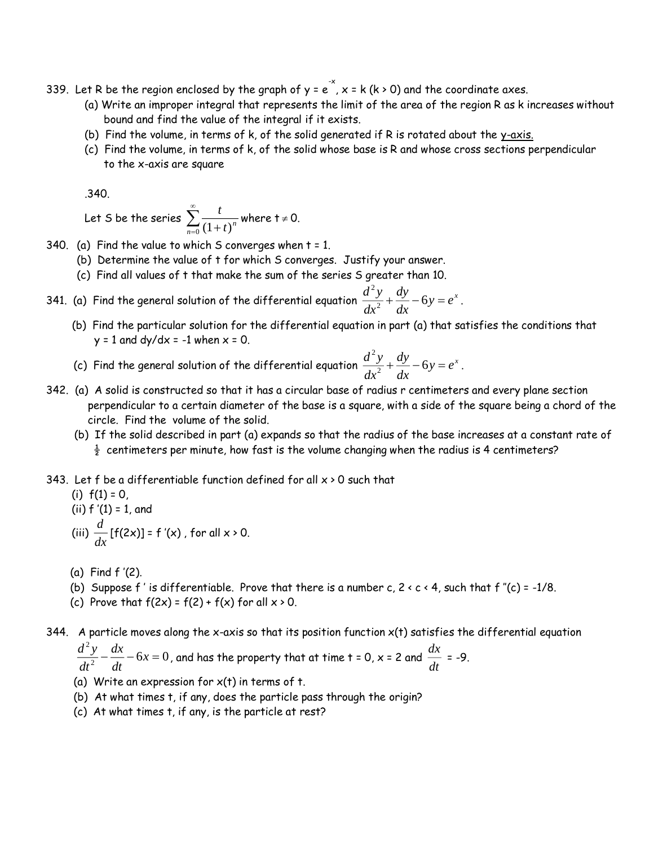- 339. Let R be the region enclosed by the graph of y = e  $\vec{x}$  , x = k (k > 0) and the coordinate axes.
	- (a) Write an improper integral that represents the limit of the area of the region R as k increases without bound and find the value of the integral if it exists.
	- (b) Find the volume, in terms of  $k$ , of the solid generated if  $R$  is rotated about the  $y$ -axis.
	- (c) Find the volume, in terms of k, of the solid whose base is R and whose cross sections perpendicular to the x-axis are square

.340.

Let S be the series  $\sum_{i=1}^{\infty} \frac{t_i}{t_i}$  $\sum_{n=0}^{n} (1+t)^n$  $\sum_{n=0}^{\infty} \frac{t}{(1+\epsilon)^n}$  where t  $\neq 0$ .

- 340. (a) Find the value to which S converges when  $t = 1$ .
	- (b) Determine the value of t for which S converges. Justify your answer.
	- (c) Find all values of t that make the sum of the series S greater than 10.
- 341. (a) Find the general solution of the differential equation  $\frac{d^2y}{dx^2}$ *dx dy*  $\frac{d^2y}{dx^2} + \frac{dy}{dx} - 6y = e^x$  $\frac{y}{2} + \frac{xy}{1} - 6y = e^x$ .
	- (b) Find the particular solution for the differential equation in part (a) that satisfies the conditions that  $y = 1$  and dy/dx = -1 when  $x = 0$ .
	- (c) Find the general solution of the differential equation  $\frac{d^2y}{dx^2}$ *dx dy*  $\frac{d^2y}{dx^2} + \frac{dy}{dx} - 6y = e^x$  $\frac{y}{2} + \frac{y}{l} - 6y = e^x$ .
- 342. (a) A solid is constructed so that it has a circular base of radius r centimeters and every plane section perpendicular to a certain diameter of the base is a square, with a side of the square being a chord of the circle. Find the volume of the solid.
	- (b) If the solid described in part (a) expands so that the radius of the base increases at a constant rate of  $\frac{1}{2}$  centimeters per minute, how fast is the volume changing when the radius is 4 centimeters?
- 343. Let f be a differentiable function defined for all  $x > 0$  such that
	- (i)  $f(1) = 0$ , (ii) f '(1) = 1, and (iii) *d*  $\frac{d}{dx}$  [f(2x)] = f '(x) , for all x > 0.
	- (a) Find f '(2).
	- (b) Suppose f' is differentiable. Prove that there is a number c,  $2 < c < 4$ , such that f"(c) = -1/8.
	- (c) Prove that  $f(2x) = f(2) + f(x)$  for all  $x \ge 0$ .

344. A particle moves along the x-axis so that its position function  $x(t)$  satisfies the differential equation

*d y dt dx*  $\frac{1}{dt}$  – 6*x* 2  $\frac{y}{z}$   $-\frac{dx}{dt}$   $-6x$   $=$  0 , and has the property that at time t = 0, x = 2 and  $\frac{dx}{dt}$  $\frac{d\mathbf{r}}{dt}$  = -9.

- (a) Write an expression for  $x(t)$  in terms of t.
- (b) At what times t, if any, does the particle pass through the origin?
- (c) At what times t, if any, is the particle at rest?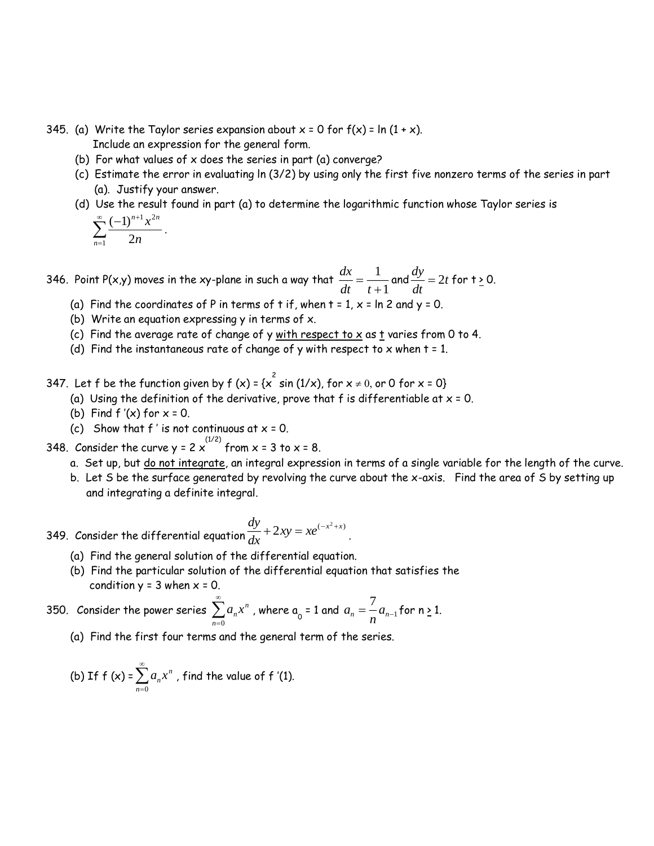- 345. (a) Write the Taylor series expansion about  $x = 0$  for  $f(x) = \ln(1 + x)$ . Include an expression for the general form.
	- (b) For what values of  $x$  does the series in part (a) converge?
	- (c) Estimate the error in evaluating ln (3/2) by using only the first five nonzero terms of the series in part (a). Justify your answer.
	- (d) Use the result found in part (a) to determine the logarithmic function whose Taylor series is  $\sum_{n=1}^{\infty}$   $(-1)^{n+1} x^{2n}$

$$
\sum_{n=1}^{\infty} \frac{(-1)^n x}{2n}
$$

.

346. Point P(x,y) moves in the xy-plane in such a way that  $\frac{dx}{dt}$  $\frac{d}{dt} = \frac{1}{t+1}$ 1  $\frac{1}{1}$  and  $\frac{dy}{dt}$  $\frac{dy}{dt}$  = 2*t* for t <u>></u> 0.

- (a) Find the coordinates of P in terms of t if, when  $t = 1$ ,  $x = \ln 2$  and  $y = 0$ .
- (b) Write an equation expressing  $y$  in terms of  $x$ .
- (c) Find the average rate of change of y with respect to  $x$  as t varies from 0 to 4.
- (d) Find the instantaneous rate of change of y with respect to x when  $t = 1$ .
- 347. Let  $f$  be the function given by  $f(x) = \{x^2 \sin(1/x), \text{ for } x \neq 0, \text{ or } 0 \text{ for } x = 0\}$ 
	- (a) Using the definition of the derivative, prove that f is differentiable at  $x = 0$ .
	- (b) Find  $f'(x)$  for  $x = 0$ .
	- (c) Show that  $f'$  is not continuous at  $x = 0$ .
- 348. Consider the curve y = 2  $\times$  from x = 3 to x = 8.
	- a. Set up, but do not integrate, an integral expression in terms of a single variable for the length of the curve.
	- b. Let S be the surface generated by revolving the curve about the x-axis. Find the area of S by setting up and integrating a definite integral.

349. Consider the differential equation 
$$
\frac{dy}{dx} + 2xy = xe^{(-x^2+x)}.
$$

- (a) Find the general solution of the differential equation.
- (b) Find the particular solution of the differential equation that satisfies the condition  $y = 3$  when  $x = 0$ .

350. Consider the power series 
$$
\sum_{n=0}^{\infty} a_n x^n
$$
, where  $a_0 = 1$  and  $a_n = \frac{7}{n} a_{n-1}$  for  $n \ge 1$ .

(a) Find the first four terms and the general term of the series.

(b) If 
$$
f(x) = \sum_{n=0}^{\infty} a_n x^n
$$
, find the value of f '(1).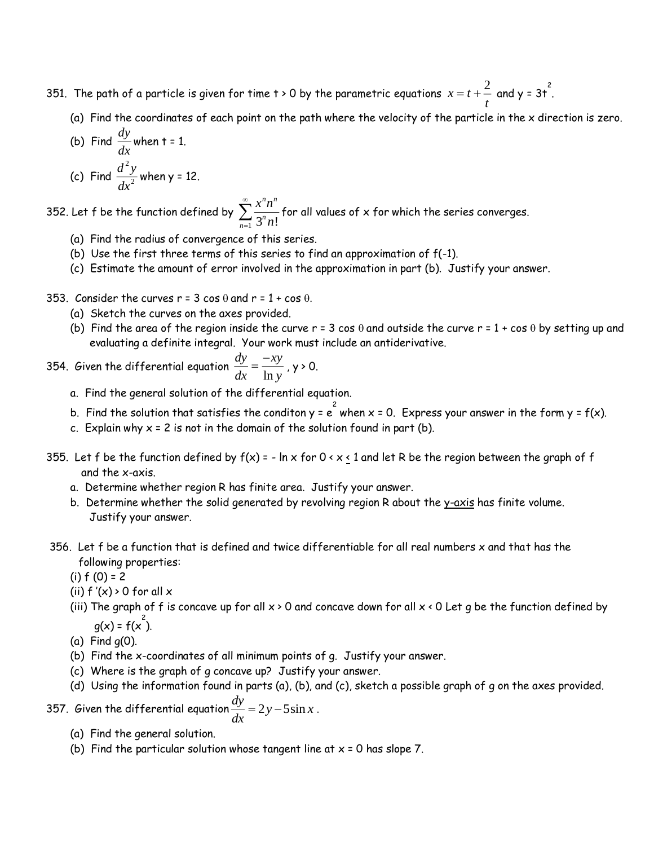- 351. The path of a particle is given for time t  $\rightarrow$  0 by the parametric equations  $x$   $=$   $t$  $t = t + \frac{2}{t}$  and y = 3t<sup>2</sup>.
	- (a) Find the coordinates of each point on the path where the velocity of the particle in the x direction is zero.

(b) Find 
$$
\frac{dy}{dx}
$$
 when t = 1.  
(c) Find  $\frac{d^2y}{dx^2}$  when y = 12.

352. Let f be the function defined by  $\sum_{n=1}^{\infty} \frac{x^{n}}{n!}$ *n n n*  $\sum_{n=1}^{\infty} 3^n n!$  $\sum_{n=-\infty}^{\infty}\frac{x^nn^n}{2^n-1}$  for all values of x for which the series converges.

- (a) Find the radius of convergence of this series.
- (b) Use the first three terms of this series to find an approximation of f(-1).
- (c) Estimate the amount of error involved in the approximation in part (b). Justify your answer.
- 353. Consider the curves  $r = 3 \cos \theta$  and  $r = 1 + \cos \theta$ .
	- (a) Sketch the curves on the axes provided.
	- (b) Find the area of the region inside the curve  $r = 3 \cos \theta$  and outside the curve  $r = 1 + \cos \theta$  by setting up and evaluating a definite integral. Your work must include an antiderivative.

354. Given the differential equation 
$$
\frac{dy}{dx} = \frac{-xy}{\ln y}
$$
, y > 0.

- a. Find the general solution of the differential equation.
- b. Find the solution that satisfies the conditon y =  $e^{2\over 2}$  when x = 0. Express your answer in the form y = f(x).
- c. Explain why  $x = 2$  is not in the domain of the solution found in part (b).
- 355. Let f be the function defined by  $f(x) = -\ln x$  for  $0 \le x \le 1$  and let R be the region between the graph of f and the x-axis.
	- a. Determine whether region R has finite area. Justify your answer.
	- b. Determine whether the solid generated by revolving region R about the y-axis has finite volume. Justify your answer.
- 356. Let f be a function that is defined and twice differentiable for all real numbers x and that has the following properties:
	- $(i) f (0) = 2$
	- (ii)  $f'(x) > 0$  for all  $x$
- (iii) The graph of f is concave up for all  $x > 0$  and concave down for all  $x < 0$  Let g be the function defined by  $g(x) = f(x^2)$ .
	- (a) Find g(0).
	- (b) Find the x-coordinates of all minimum points of g. Justify your answer.
	- (c) Where is the graph of g concave up? Justify your answer.
	- (d) Using the information found in parts (a), (b), and (c), sketch a possible graph of g on the axes provided.

357. Given the differential equation *dy*  $\frac{dy}{dx} = 2y - 5\sin x$ .

- (a) Find the general solution.
- (b) Find the particular solution whose tangent line at  $x = 0$  has slope 7.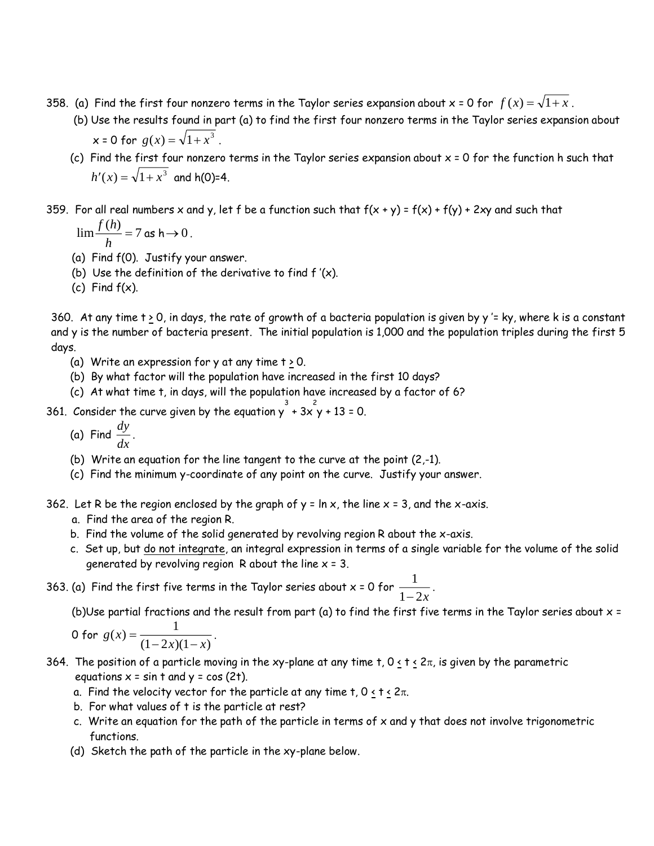- 358. (a) Find the first four nonzero terms in the Taylor series expansion about x = 0 for  $f\left( x\right) =\sqrt{1+x}$  .
	- (b) Use the results found in part (a) to find the first four nonzero terms in the Taylor series expansion about  $x = 0$  for  $g(x) = \sqrt{1 + x^3}$ .
	- (c) Find the first four nonzero terms in the Taylor series expansion about x = 0 for the function h such that  $h'(x) = \sqrt{1 + x^3}$  and h(0)=4.

359. For all real numbers x and y, let f be a function such that  $f(x + y) = f(x) + f(y) + 2xy$  and such that

 $\lim \frac{f(h)}{h} = 7$  as  $h \to 0$ .

- (a) Find f(0). Justify your answer.
- (b) Use the definition of the derivative to find  $f'(x)$ .
- (c) Find f(x).

360. At any time  $t \ge 0$ , in days, the rate of growth of a bacteria population is given by y '= ky, where k is a constant and y is the number of bacteria present. The initial population is 1,000 and the population triples during the first 5 days.

- (a) Write an expression for y at any time  $t > 0$ .
- (b) By what factor will the population have increased in the first 10 days?
- (c) At what time t, in days, will the population have increased by a factor of 6?

361. Consider the curve given by the equation  $y^3 + 3x^2y + 13 = 0$ .

- (a) Find *dy*  $\frac{dy}{dx}$ .
- (b) Write an equation for the line tangent to the curve at the point (2,-1).
- (c) Find the minimum y-coordinate of any point on the curve. Justify your answer.
- 362. Let R be the region enclosed by the graph of  $y = \ln x$ , the line  $x = 3$ , and the x-axis.
	- a. Find the area of the region R.
	- b. Find the volume of the solid generated by revolving region R about the x-axis.
	- c. Set up, but do not integrate, an integral expression in terms of a single variable for the volume of the solid generated by revolving region R about the line  $x = 3$ .
- 363. (a) Find the first five terms in the Taylor series about x = 0 for  $\frac{1}{\sqrt{2}}$  $\frac{1}{1-2x}$

(b)Use partial fractions and the result from part (a) to find the first five terms in the Taylor series about  $x =$ 

$$
0 \text{ for } g(x) = \frac{1}{(1-2x)(1-x)}.
$$

- 364. The position of a particle moving in the xy-plane at any time  $t$ ,  $0 < t < 2\pi$ , is given by the parametric equations  $x = \sin t$  and  $y = \cos(2t)$ .
	- a. Find the velocity vector for the particle at any time  $t, 0 < t < 2\pi$ .
	- b. For what values of t is the particle at rest?
	- c. Write an equation for the path of the particle in terms of  $x$  and  $y$  that does not involve trigonometric functions.
	- (d) Sketch the path of the particle in the xy-plane below.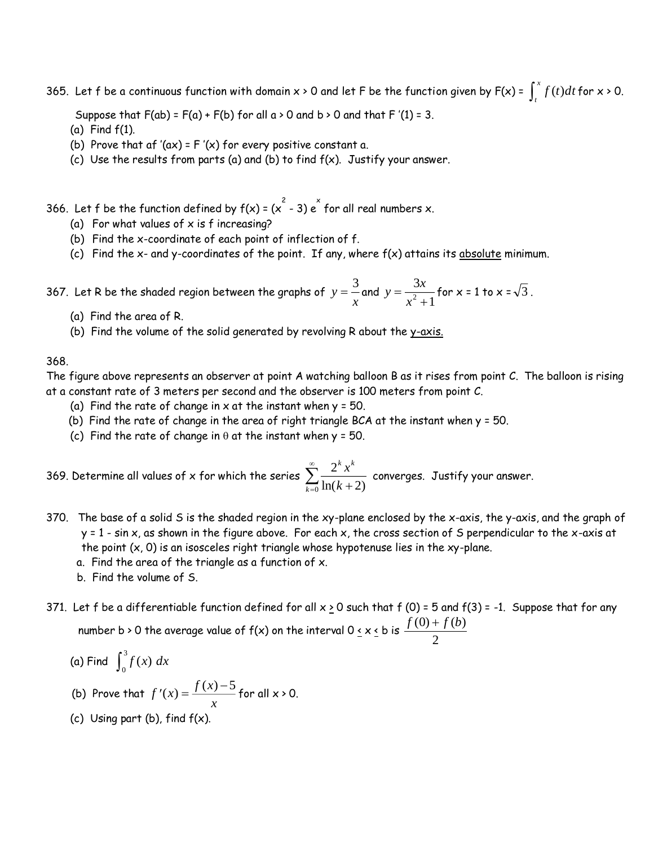365. Let  $f$  be a continuous function with domain  $x \succ 0$  and let  $F$  be the function given by  $F(x)$  =  $\int_t^x$  $f(t)dt$  for  $x > 0$ .

Suppose that  $F(ab) = F(a) + F(b)$  for all  $a > 0$  and  $b > 0$  and that  $F'(1) = 3$ .

- (a) Find f(1).
- (b) Prove that af '(ax) =  $F'(x)$  for every positive constant a.
- (c) Use the results from parts (a) and (b) to find  $f(x)$ . Justify your answer.

366. Let f be the function defined by  $f(x) = (x^2 - 3) e^x$  for all real numbers x.

- (a) For what values of  $x$  is f increasing?
- (b) Find the x-coordinate of each point of inflection of f.
- (c) Find the  $x$  and y-coordinates of the point. If any, where  $f(x)$  attains its absolute minimum.

367. Let R be the shaded region between the graphs of  $y = \frac{z}{x}$  $=$  $\frac{3}{2}$  and  $y = \frac{3x}{2}$ *x*  $=\frac{1}{x^2+1}$ 3  $\frac{24}{2}$  for x = 1 to x =  $\sqrt{3}$ .

- (a) Find the area of R.
- (b) Find the volume of the solid generated by revolving R about the y-axis.

368.

The figure above represents an observer at point A watching balloon B as it rises from point C. The balloon is rising at a constant rate of 3 meters per second and the observer is 100 meters from point C.

- (a) Find the rate of change in  $x$  at the instant when  $y = 50$ .
- (b) Find the rate of change in the area of right triangle BCA at the instant when y = 50.
- (c) Find the rate of change in  $\theta$  at the instant when y = 50.

369. Determine all values of x for which the series  $\sum_{n=1}^{\infty} \frac{2}{n}$  $\frac{1}{0}$  ln(k + 2) *k k x k*  $\sum_{k=0}^{\infty} \ln(k+2)$  $\sum_{k=1}^{\infty} \frac{2^k x^k}{k!}$  converges. Justify your answer.

- 370. The base of a solid S is the shaded region in the xy-plane enclosed by the x-axis, the y-axis, and the graph of y = 1 - sin x, as shown in the figure above. For each x, the cross section of S perpendicular to the x-axis at the point  $(x, 0)$  is an isosceles right triangle whose hypotenuse lies in the  $xy$ -plane.
	- a. Find the area of the triangle as a function of x.
	- b. Find the volume of S.
- 371. Let f be a differentiable function defined for all  $x \ge 0$  such that f (0) = 5 and f(3) = -1. Suppose that for any number b > 0 the average value of  $f(x)$  on the interval 0 <u>< x <</u> b is  $\frac{f(0) + f(b)}{f(0)}$ 2  $\ddot{}$

(a) Find 
$$
\int_0^3 f(x) dx
$$

- (b) Prove that  $f'(x) =$  $f'(x) = \frac{f(x) - f(x)}{x}$  $f(x) = \frac{f(x) - 5}{x}$  for all  $x > 0$ .
- (c) Using part  $(b)$ , find  $f(x)$ .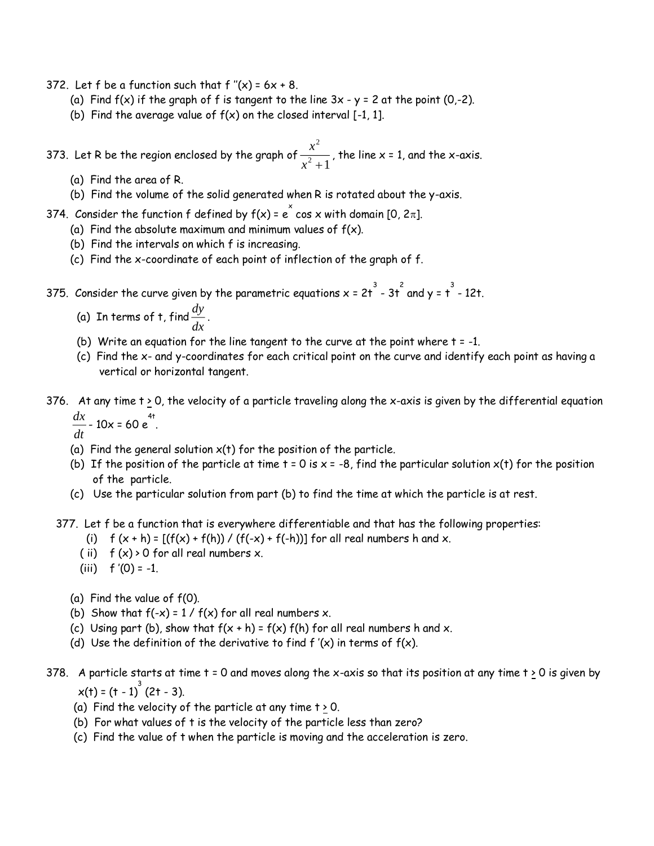- 372. Let f be a function such that  $f''(x) = 6x + 8$ .
	- (a) Find  $f(x)$  if the graph of f is tangent to the line  $3x y = 2$  at the point  $(0, -2)$ .
	- (b) Find the average value of  $f(x)$  on the closed interval [-1, 1].

373. Let R be the region enclosed by the graph of  $\frac{x}{\sqrt{2}}$ *x* 2  $\frac{1}{2}$ , the line x = 1, and the x-axis.

- (a) Find the area of R.
- (b) Find the volume of the solid generated when R is rotated about the y-axis.
- 374. Consider the function f defined by f(x) = e  $\check{\text{c}}$  cos x with domain [0, 2 $\pi$ ].
	- (a) Find the absolute maximum and minimum values of  $f(x)$ .
	- (b) Find the intervals on which f is increasing.
	- (c) Find the x-coordinate of each point of inflection of the graph of f.

375. Consider the curve given by the parametric equations  $x$  = 2t  $^3$  - 3t  $^2$  and y = t  $^3$  - 12t.

- (a) In terms of t, find  $\frac{dy}{dx}$  $\frac{dy}{dx}$ .
- (b) Write an equation for the line tangent to the curve at the point where  $t = -1$ .
- (c) Find the x- and y-coordinates for each critical point on the curve and identify each point as having a vertical or horizontal tangent.
- 376. At any time  $t \ge 0$ , the velocity of a particle traveling along the x-axis is given by the differential equation *dx*  $\frac{dx}{dt}$  - 10x = 60 e<sup>4t</sup>.

- (a) Find the general solution  $x(t)$  for the position of the particle.
- (b) If the position of the particle at time  $t = 0$  is  $x = -8$ , find the particular solution  $x(t)$  for the position of the particle.
- (c) Use the particular solution from part (b) to find the time at which the particle is at rest.

377. Let f be a function that is everywhere differentiable and that has the following properties:

- (i)  $f(x+h) = [(f(x) + f(h)) / (f(-x) + f(-h))]$  for all real numbers h and x.
- (ii)  $f(x) > 0$  for all real numbers x.
- (iii)  $f'(0) = -1$ .
- (a) Find the value of f(0).
- (b) Show that  $f(-x) = 1 / f(x)$  for all real numbers x.
- (c) Using part (b), show that  $f(x + h) = f(x) f(h)$  for all real numbers h and x.
- (d) Use the definition of the derivative to find  $f'(x)$  in terms of  $f(x)$ .
- 378. A particle starts at time  $t = 0$  and moves along the x-axis so that its position at any time  $t \ge 0$  is given by  $x(t) = (t - 1)^3 (2t - 3).$ 
	- (a) Find the velocity of the particle at any time  $t > 0$ .
	- (b) For what values of t is the velocity of the particle less than zero?
	- (c) Find the value of t when the particle is moving and the acceleration is zero.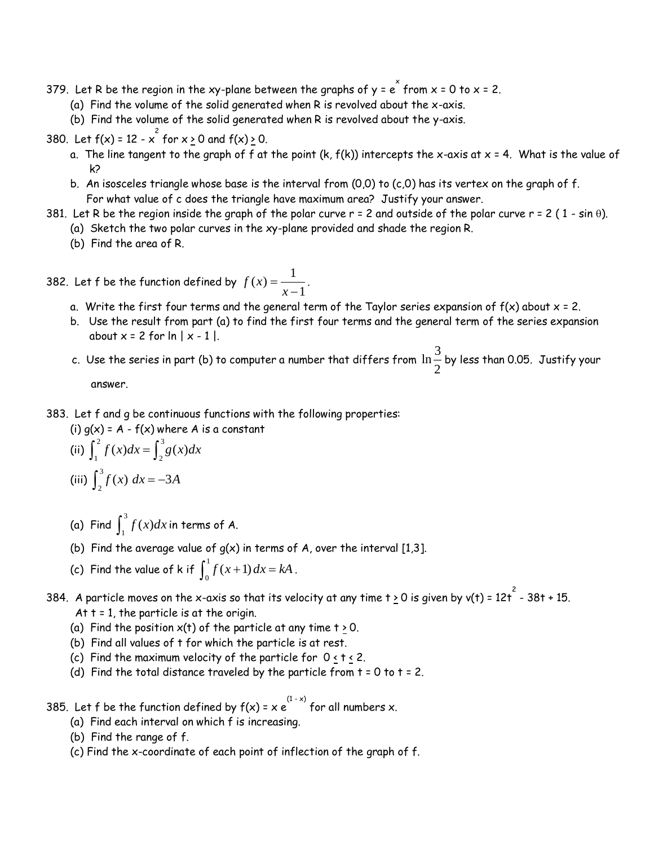- 379. Let R be the region in the xy-plane between the graphs of y =  $\stackrel{\sim}{\rm e}$  from x = 0 to x = 2.
	- (a) Find the volume of the solid generated when R is revolved about the x-axis.
	- (b) Find the volume of the solid generated when R is revolved about the y-axis.
- 380. Let  $f(x) = 12 x^2$  for  $x \ge 0$  and  $f(x) \ge 0$ .
	- a. The line tangent to the graph of f at the point (k,  $f(k)$ ) intercepts the x-axis at  $x = 4$ . What is the value of k?
	- b. An isosceles triangle whose base is the interval from  $(0,0)$  to  $(c,0)$  has its vertex on the graph of f. For what value of c does the triangle have maximum area? Justify your answer.
- 381. Let R be the region inside the graph of the polar curve  $r = 2$  and outside of the polar curve  $r = 2$  (1 sin  $\theta$ ).
	- (a) Sketch the two polar curves in the xy-plane provided and shade the region R.
	- (b) Find the area of R.
- 382. Let f be the function defined by  $f(x) = \frac{1}{x-1}$ 1  $\frac{1}{1}$ .
	- a. Write the first four terms and the general term of the Taylor series expansion of  $f(x)$  about  $x = 2$ .
	- b. Use the result from part (a) to find the first four terms and the general term of the series expansion about  $x = 2$  for  $\ln |x - 1|$ .
	- c. Use the series in part (b) to computer a number that differs from  $\ln\frac{3}{2}$  $\frac{1}{2}$  by less than 0.05. Justify your  $2$ answer.
- 383. Let f and g be continuous functions with the following properties:
	- (i)  $q(x) = A f(x)$  where A is a constant

(ii) 
$$
\int_{1}^{2} f(x)dx = \int_{2}^{3} g(x)dx
$$
  
(iii)  $\int_{2}^{3} f(x) dx = -3A$ 

- (a) Find  $\int_1^3$  $\int_{1}^{3} f(x)dx$  in terms of A.
- (b) Find the average value of  $q(x)$  in terms of A, over the interval [1,3].
- (c) Find the value of k if  $\int_0^1 f(x+1) dx = kA$  $0 f(x+1) dx = kA$ .
- 384. A particle moves on the x-axis so that its velocity at any time t <u>></u> 0 is given by v(t) = 12t  $^{2}$  38t + 15. At  $t = 1$ , the particle is at the origin.
	- (a) Find the position  $x(t)$  of the particle at any time  $t \ge 0$ .
	- (b) Find all values of t for which the particle is at rest.
	- (c) Find the maximum velocity of the particle for  $0 \le t \le 2$ .
	- (d) Find the total distance traveled by the particle from  $t = 0$  to  $t = 2$ .
- 385. Let  $f$  be the function defined by  $f(x)$  =  $x$   $e^{(1-x)}$  for all numbers  $x$ .
	- (a) Find each interval on which f is increasing.
	- (b) Find the range of f.
	- (c) Find the x-coordinate of each point of inflection of the graph of f.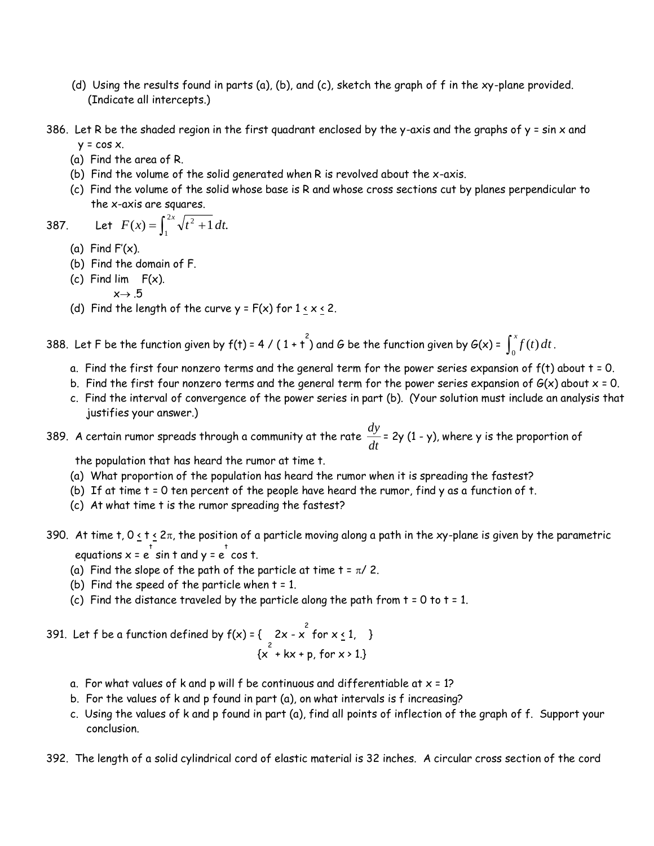- (d) Using the results found in parts (a), (b), and (c), sketch the graph of f in the xy-plane provided. (Indicate all intercepts.)
- 386. Let R be the shaded region in the first quadrant enclosed by the y-axis and the graphs of  $y = sin x$  and  $y = \cos x$ .
	- (a) Find the area of R.
	- (b) Find the volume of the solid generated when R is revolved about the x-axis.
	- (c) Find the volume of the solid whose base is R and whose cross sections cut by planes perpendicular to the x-axis are squares.

387. Let 
$$
F(x) = \int_1^{2x} \sqrt{t^2 + 1} dt
$$
.

- (a) Find  $F'(x)$ .
- (b) Find the domain of F.
- (c) Find lim F(x).  $x \rightarrow .5$
- (d) Find the length of the curve  $y = F(x)$  for  $1 \le x \le 2$ .

388. Let F be the function given by  $f(t) = 4 / (1 + t^2)$  and G be the function given by  $G(x) = \int_0^x f(t) dt$ .

- a. Find the first four nonzero terms and the general term for the power series expansion of  $f(t)$  about  $t = 0$ .
- b. Find the first four nonzero terms and the general term for the power series expansion of  $G(x)$  about  $x = 0$ .
- c. Find the interval of convergence of the power series in part (b). (Your solution must include an analysis that justifies your answer.)

389. A certain rumor spreads through a community at the rate  $\frac{dy}{dt}$  $\frac{dy}{dt}$  = 2y (1 - y), where y is the proportion of

the population that has heard the rumor at time t.

- (a) What proportion of the population has heard the rumor when it is spreading the fastest?
- (b) If at time t = 0 ten percent of the people have heard the rumor, find y as a function of t.
- (c) At what time t is the rumor spreading the fastest?
- 390. At time t,  $0 \le t \le 2\pi$ , the position of a particle moving along a path in the xy-plane is given by the parametric equations  $x = e^{\frac{t}{b}} \sin t$  and  $y = e^{\frac{t}{b}} \cos t$ .
	- (a) Find the slope of the path of the particle at time  $t = \pi / 2$ .
	- (b) Find the speed of the particle when  $t = 1$ .
	- (c) Find the distance traveled by the particle along the path from  $t = 0$  to  $t = 1$ .
- 391. Let  $f$  be a function defined by  $f(x) = \begin{cases} 2x x^2 & \text{for } x \le 1, \end{cases}$  $\{x^2 + kx + p, \text{ for } x > 1.\}$ 
	- a. For what values of k and p will f be continuous and differentiable at  $x = 1$ ?
	- b. For the values of k and p found in part (a), on what intervals is f increasing?
	- c. Using the values of k and p found in part (a), find all points of inflection of the graph of f. Support your conclusion.
- 392. The length of a solid cylindrical cord of elastic material is 32 inches. A circular cross section of the cord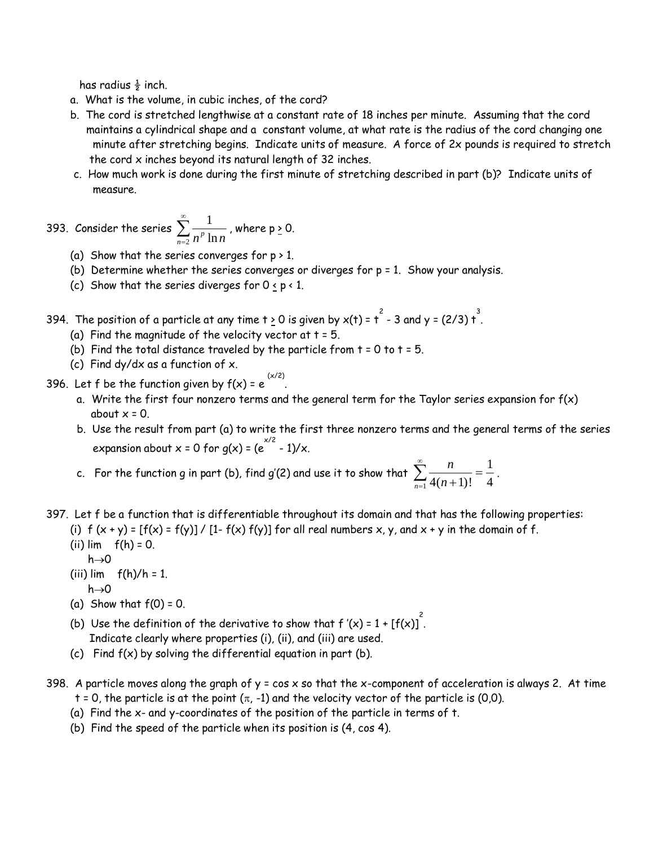has radius  $\frac{1}{2}$  inch.

- a. What is the volume, in cubic inches, of the cord?
- b. The cord is stretched lengthwise at a constant rate of 18 inches per minute. Assuming that the cord maintains a cylindrical shape and a constant volume, at what rate is the radius of the cord changing one minute after stretching begins. Indicate units of measure. A force of 2x pounds is required to stretch the cord x inches beyond its natural length of 32 inches.
- c. How much work is done during the first minute of stretching described in part (b)? Indicate units of measure.

393. Consider the series  $\sum_{n=1}^{\infty} \frac{1}{n^2}$  $\sum_{n=2}$   $n^p \ln n$  $\sum\limits_{n=0}^{\infty}\frac{1}{n^p\ln n}$  , where p <u>></u> 0.

- (a) Show that the series converges for  $p > 1$ .
- (b) Determine whether the series converges or diverges for p = 1. Show your analysis.
- (c) Show that the series diverges for  $0 \le p < 1$ .
- 394. The position of a particle at any time t  $\geq$  0 is given by x(t) = t  $^{2}$  3 and y = (2/3) t  $^{3}$  .
	- (a) Find the magnitude of the velocity vector at  $t = 5$ .
	- (b) Find the total distance traveled by the particle from  $t = 0$  to  $t = 5$ .
	- (c) Find dy/dx as a function of x.
- 396. Let f be the function given by  $f(x) = e^x$ (x/2) .
	- a. Write the first four nonzero terms and the general term for the Taylor series expansion for f(x) about  $x = 0$ .
	- b. Use the result from part (a) to write the first three nonzero terms and the general terms of the series expansion about x = 0 for g(x) = (e  $^{x/2}$  - 1)/x.
	- c. For the function g in part (b), find g'(2) and use it to show that  $\sum \frac{n}{n}$  $\sum_{n=1}$  4(*n*+1) 1  $\frac{1}{4(n+1)!} = \frac{1}{4}$  $\sum_{n=1}^{\infty} \frac{n}{4(n+1)!} = \frac{1}{4}.$
- 397. Let f be a function that is differentiable throughout its domain and that has the following properties: (i)  $f(x + y) = [f(x) = f(y)] / [1 - f(x) f(y)]$  for all real numbers x, y, and x + y in the domain of f.
	- (ii)  $\lim$   $f(h) = 0$ .
	- $h\rightarrow 0$
	- (iii)  $\lim$   $f(h)/h = 1$ .  $h\rightarrow 0$
	- (a) Show that  $f(0) = 0$ .
	- (b) Use the definition of the derivative to show that f '(x) = 1 + [f(x)]  $\int$ Indicate clearly where properties (i), (ii), and (iii) are used.
	- (c) Find  $f(x)$  by solving the differential equation in part (b).
- 398. A particle moves along the graph of  $y = cos x$  so that the x-component of acceleration is always 2. At time t = 0, the particle is at the point  $(\pi, -1)$  and the velocity vector of the particle is (0,0).
	- (a) Find the x- and y-coordinates of the position of the particle in terms of t.
	- (b) Find the speed of the particle when its position is (4, cos 4).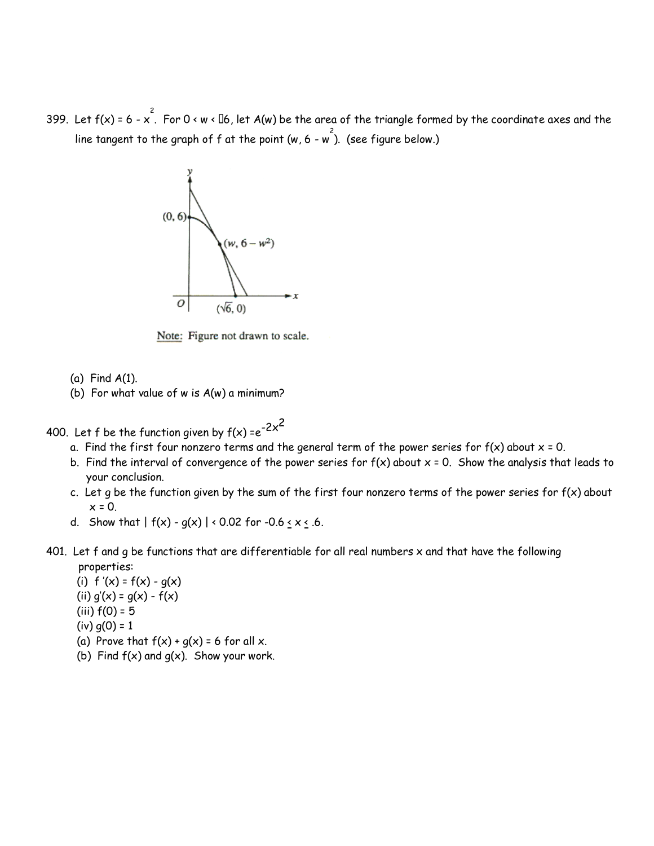399. Let f(x) = 6 - x  $\stackrel{\text{2}}{.}$  For 0 < w < [16, let A(w) be the area of the triangle formed by the coordinate axes and the line tangent to the graph of  $f$  at the point (w, 6 - w  $\hat{f}$ ). (see figure below.)



Note: Figure not drawn to scale.

- (a) Find A(1).
- (b) For what value of w is A(w) a minimum?
- 400. Let f be the function given by  $f(x) = e^{-2x^2}$ 
	- a. Find the first four nonzero terms and the general term of the power series for  $f(x)$  about  $x = 0$ .
	- b. Find the interval of convergence of the power series for  $f(x)$  about  $x = 0$ . Show the analysis that leads to your conclusion.
	- c. Let g be the function given by the sum of the first four nonzero terms of the power series for  $f(x)$  about  $x = 0$ .
	- d. Show that  $| f(x) g(x) | < 0.02$  for  $-0.6 \le x \le 0.6$ .
- 401. Let f and  $q$  be functions that are differentiable for all real numbers  $x$  and that have the following properties:

(i)  $f'(x) = f(x) - g(x)$ (ii)  $q'(x) = q(x) - f(x)$ (iii)  $f(0) = 5$  $(iv)$   $g(0) = 1$ 

- (a) Prove that  $f(x) + g(x) = 6$  for all x.
- (b) Find  $f(x)$  and  $g(x)$ . Show your work.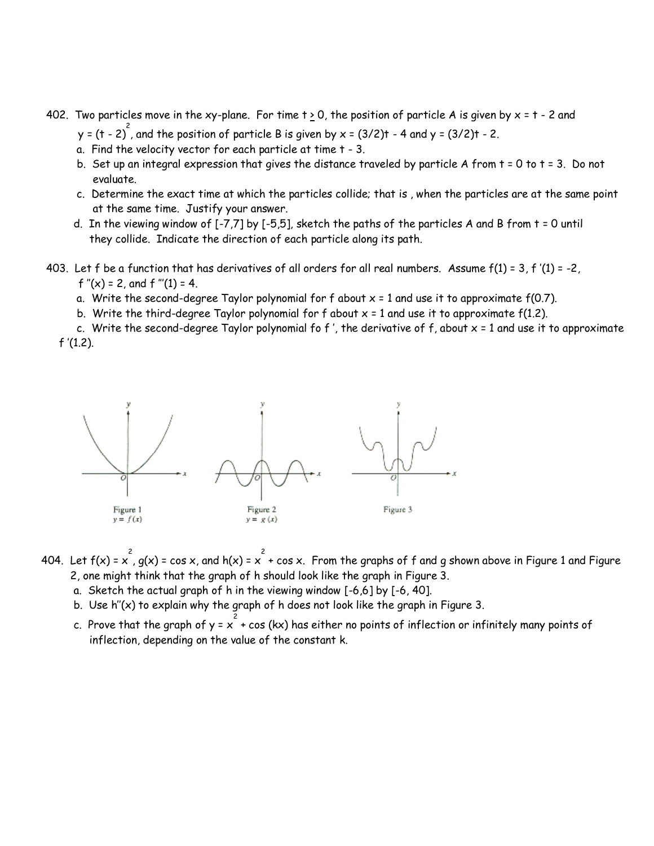- 402. Two particles move in the xy-plane. For time  $t \ge 0$ , the position of particle A is given by  $x = t 2$  and y = (t - 2)<sup>2</sup>, and the position of particle B is given by x = (3/2)t - 4 and y = (3/2)t - 2.
	- a. Find the velocity vector for each particle at time t 3.
	- b. Set up an integral expression that gives the distance traveled by particle A from t = 0 to t = 3. Do not evaluate.
	- c. Determine the exact time at which the particles collide; that is , when the particles are at the same point at the same time. Justify your answer.
	- d. In the viewing window of [-7,7] by [-5,5], sketch the paths of the particles A and B from t = 0 until they collide. Indicate the direction of each particle along its path.
- 403. Let f be a function that has derivatives of all orders for all real numbers. Assume  $f(1) = 3$ , f '(1) = -2, f  $''(x) = 2$ , and f  $'''(1) = 4$ .
	- a. Write the second-degree Taylor polynomial for f about  $x = 1$  and use it to approximate  $f(0.7)$ .
	- b. Write the third-degree Taylor polynomial for f about  $x = 1$  and use it to approximate  $f(1.2)$ .

c. Write the second-degree Taylor polynomial fo  $f'$ , the derivative of  $f$ , about  $x = 1$  and use it to approximate  $f'(1.2)$ .



- 404. Let  $f(x) = x^2$ , g(x) = cos x, and h(x) =  $x^2$  + cos x. From the graphs of  $f$  and  $g$  shown above in Figure 1 and Figure 2, one might think that the graph of h should look like the graph in Figure 3.
	- a. Sketch the actual graph of h in the viewing window [-6,6] by [-6, 40].
	- b. Use h''(x) to explain why the graph of h does not look like the graph in Figure 3.
	- c. Prove that the graph of y =  $\chi^2$  + cos (kx) has either no points of inflection or infinitely many points of inflection, depending on the value of the constant k.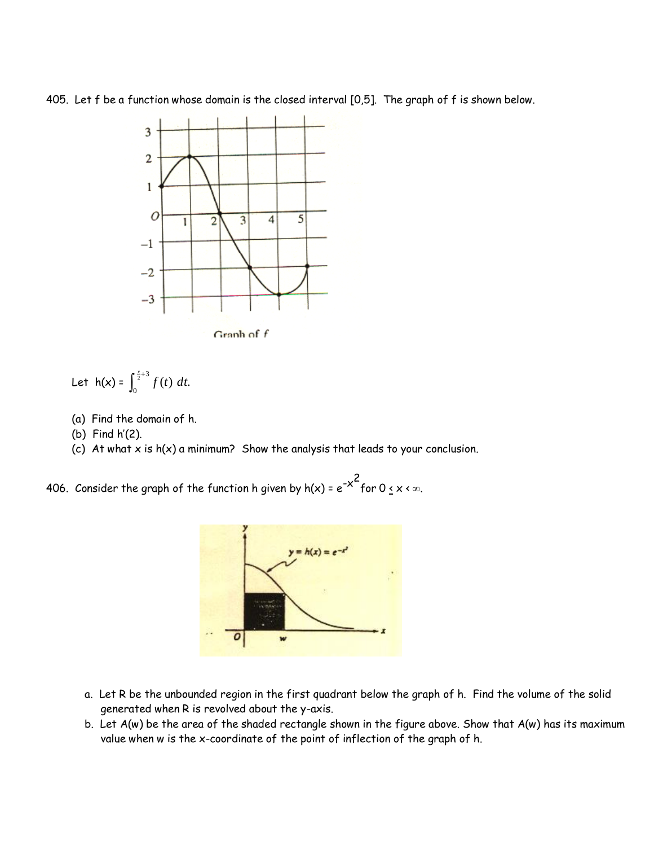405. Let f be a function whose domain is the closed interval [0,5]. The graph of f is shown below.



Let 
$$
h(x) = \int_0^{\frac{x}{2}+3} f(t) dt
$$
.

- (a) Find the domain of h.
- (b) Find h'(2).
- (c) At what  $x$  is  $h(x)$  a minimum? Show the analysis that leads to your conclusion.

406. Consider the graph of the function h given by h(x) =  $e^{-\varkappa^2}$ for 0  $\leq$  x <  $\infty$ .



- a. Let R be the unbounded region in the first quadrant below the graph of h. Find the volume of the solid generated when R is revolved about the y-axis.
- b. Let A(w) be the area of the shaded rectangle shown in the figure above. Show that A(w) has its maximum value when w is the x-coordinate of the point of inflection of the graph of h.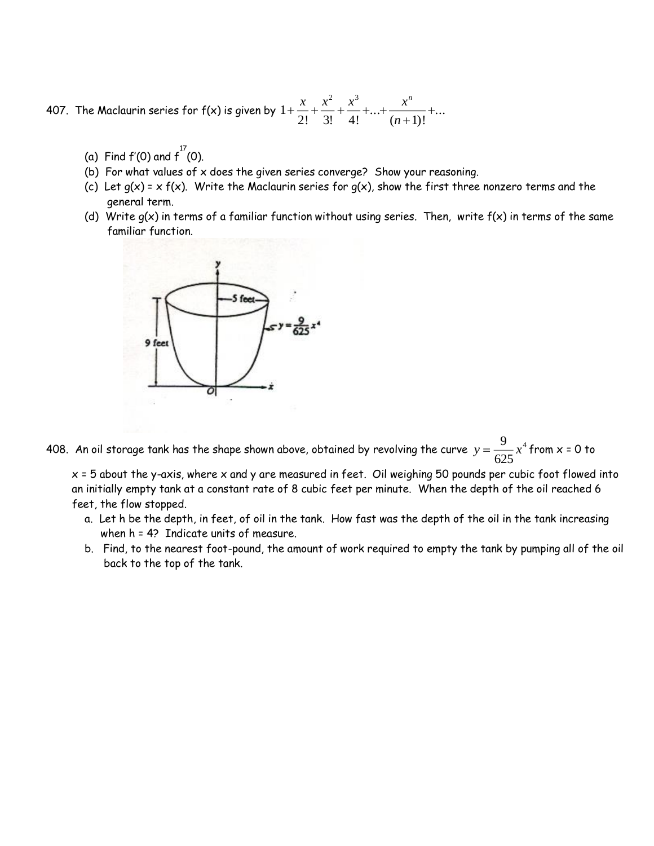407. The Maclaurin series for  $f(x)$  is given by  $1$ 2! 3! 4!  $(n+1)$ 2 3  $+\frac{x}{2}+\frac{x}{3}+\frac{x}{3}+\ldots+\frac{x}{n}+\ldots+\frac{x}{n}+\ldots+\frac{x}{n}+\ldots+\frac{x}{n}+\ldots+\frac{x}{n}+\ldots+\frac{x}{n}+\ldots+\frac{x}{n}+\ldots+\frac{x}{n}+\ldots+\frac{x}{n}+\ldots+\frac{x}{n}+\ldots+\frac{x}{n}+\ldots+\frac{x}{n}+\ldots+\frac{x}{n}+\ldots+\frac{x}{n}+\ldots+\frac{x}{n}+\ldots+\frac{x}{n}+\ldots+\frac{x}{n}+\ldots+\frac{x}{n}+\ldots+\frac{x}{n}+\ldots+\frac{x}{n}+\ldots+\frac{x}{n}+\ldots+\frac{x}{n}+\ldots+\$  $\overline{+}$  $\frac{x}{x} + \frac{x^2}{x} + \frac{x^3}{x} + \ldots + \frac{x^n}{x^n} + \ldots$ *n n*  $! \ 3! \ 4!$ ...  $(n+1)!$ ...

- (a) Find  $f'(0)$  and  $f^{17}(0)$ .
- (b) For what values of x does the given series converge? Show your reasoning.
- (c) Let  $g(x) = x f(x)$ . Write the Maclaurin series for  $g(x)$ , show the first three nonzero terms and the general term.
- (d) Write  $g(x)$  in terms of a familiar function without using series. Then, write  $f(x)$  in terms of the same familiar function.



408. An oil storage tank has the shape shown above, obtained by revolving the curve  $y = \frac{1}{\sqrt{2\pi}}x$ 9 625  $4$  from  $x = 0$  to

 $x = 5$  about the y-axis, where x and y are measured in feet. Oil weighing 50 pounds per cubic foot flowed into an initially empty tank at a constant rate of 8 cubic feet per minute. When the depth of the oil reached 6 feet, the flow stopped.

- a. Let h be the depth, in feet, of oil in the tank. How fast was the depth of the oil in the tank increasing when h = 4? Indicate units of measure.
- b. Find, to the nearest foot-pound, the amount of work required to empty the tank by pumping all of the oil back to the top of the tank.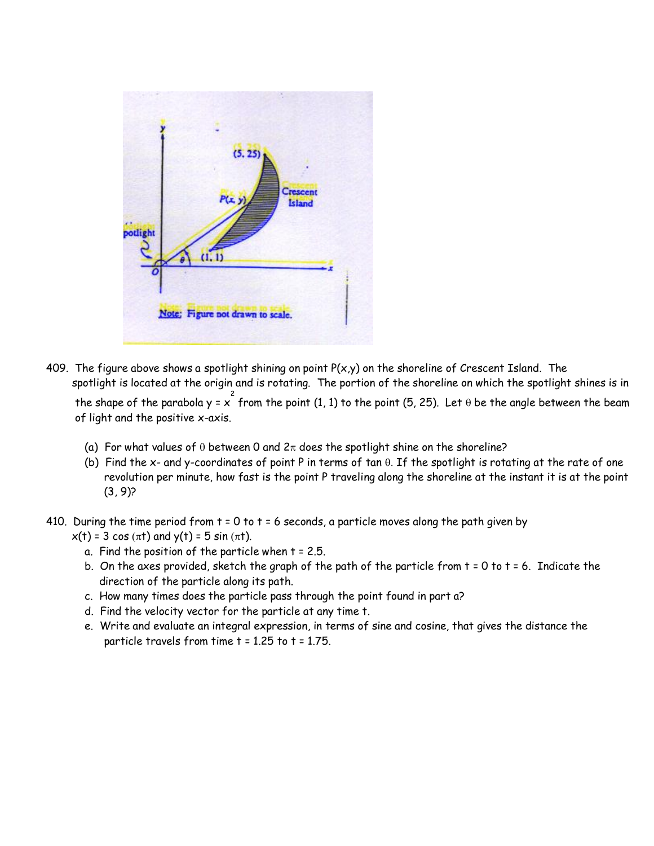

- 409. The figure above shows a spotlight shining on point  $P(x,y)$  on the shoreline of Crescent Island. The spotlight is located at the origin and is rotating. The portion of the shoreline on which the spotlight shines is in the shape of the parabola y =  $x^2$  from the point (1, 1) to the point (5, 25). Let  $\theta$  be the angle between the beam of light and the positive x-axis.
	- (a) For what values of  $\theta$  between 0 and  $2\pi$  does the spotlight shine on the shoreline?
	- (b) Find the x- and y-coordinates of point P in terms of tan  $\theta$ . If the spotlight is rotating at the rate of one revolution per minute, how fast is the point P traveling along the shoreline at the instant it is at the point  $(3, 9)$ ?

410. During the time period from  $t = 0$  to  $t = 6$  seconds, a particle moves along the path given by

- $x(t) = 3 \cos(\pi t)$  and  $y(t) = 5 \sin(\pi t)$ .
	- a. Find the position of the particle when t = 2.5.
	- b. On the axes provided, sketch the graph of the path of the particle from  $t = 0$  to  $t = 6$ . Indicate the direction of the particle along its path.
	- c. How many times does the particle pass through the point found in part a?
	- d. Find the velocity vector for the particle at any time t.
	- e. Write and evaluate an integral expression, in terms of sine and cosine, that gives the distance the particle travels from time t = 1.25 to t = 1.75.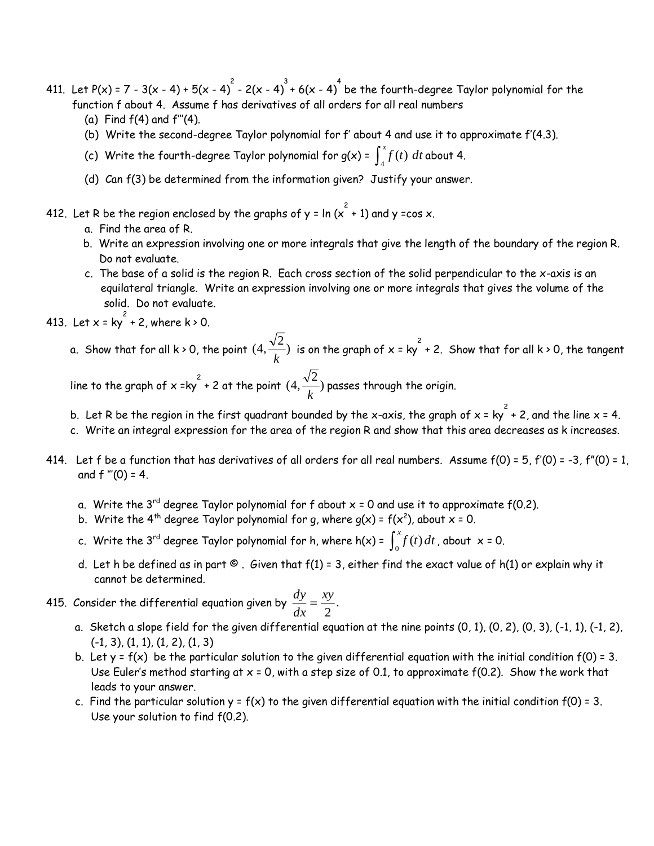- 411. Let P(x) = 7 3(x 4) + 5(x 4)  $^2$  2(x 4)  $^3$  + 6(x 4)  $^4$  be the fourth-degree Taylor polynomial for the function f about 4. Assume f has derivatives of all orders for all real numbers
	- (a) Find  $f(4)$  and  $f'''(4)$ .
	- (b) Write the second-degree Taylor polynomial for f' about 4 and use it to approximate f'(4.3).
	- (c) Write the fourth-degree Taylor polynomial for g(x) =  $\int_4^x f(t) \; dt$  about 4.
	- (d) Can f(3) be determined from the information given? Justify your answer.
- 412. Let R be the region enclosed by the graphs of y = ln ( $\chi^2$  + 1) and y =cos x.
	- a. Find the area of R.
	- b. Write an expression involving one or more integrals that give the length of the boundary of the region R. Do not evaluate.
	- c. The base of a solid is the region R. Each cross section of the solid perpendicular to the x-axis is an equilateral triangle. Write an expression involving one or more integrals that gives the volume of the solid. Do not evaluate.
- 413. Let  $x = ky^2 + 2$ , where  $k > 0$ .
	- a. Show that for all k > 0, the point  $(4, \frac{\sqrt{2}}{\sqrt{2}})$  $\frac{d}{dx}$ ) is on the graph of x = ky<sup>2</sup> + 2. Show that for all k > 0, the tangent

line to the graph of x =ky  $^2$  + 2 at the point  $(4, \frac{\sqrt{2}}{\sqrt{2}})$  $\frac{p-}{k}$ ) passes through the origin.<br>k

- b. Let R be the region in the first quadrant bounded by the x-axis, the graph of x = ky  $^{2}$  + 2, and the line x = 4.
- c. Write an integral expression for the area of the region R and show that this area decreases as k increases.
- 414. Let f be a function that has derivatives of all orders for all real numbers. Assume  $f(0) = 5$ ,  $f'(0) = -3$ ,  $f''(0) = 1$ , and  $f''(0) = 4$ .
	- a. Write the 3<sup>rd</sup> degree Taylor polynomial for f about  $x = 0$  and use it to approximate f(0.2).
- b. Write the 4<sup>th</sup> degree Taylor polynomial for g, where g(x) =  $f(x^2)$ , about x = 0.
- c. Write the 3<sup>rd</sup> degree Taylor polynomial for h, where h(x) =  $\int_0^x f(t) dt$  , about x = 0.
	- d. Let h be defined as in part  $\odot$ . Given that  $f(1) = 3$ , either find the exact value of h(1) or explain why it cannot be determined.
- 415. Consider the differential equation given by  $\frac{dy}{dx} = \frac{dy}{2}$ . *xy dx*  $\frac{dy}{dx} =$ 
	- a. Sketch a slope field for the given differential equation at the nine points (0, 1), (0, 2), (0, 3), (-1, 1), (-1, 2),  $(-1, 3)$ ,  $(1, 1)$ ,  $(1, 2)$ ,  $(1, 3)$
	- b. Let  $y = f(x)$  be the particular solution to the given differential equation with the initial condition  $f(0) = 3$ . Use Euler's method starting at  $x = 0$ , with a step size of 0.1, to approximate  $f(0.2)$ . Show the work that leads to your answer.
	- c. Find the particular solution  $y = f(x)$  to the given differential equation with the initial condition  $f(0) = 3$ . Use your solution to find f(0.2).